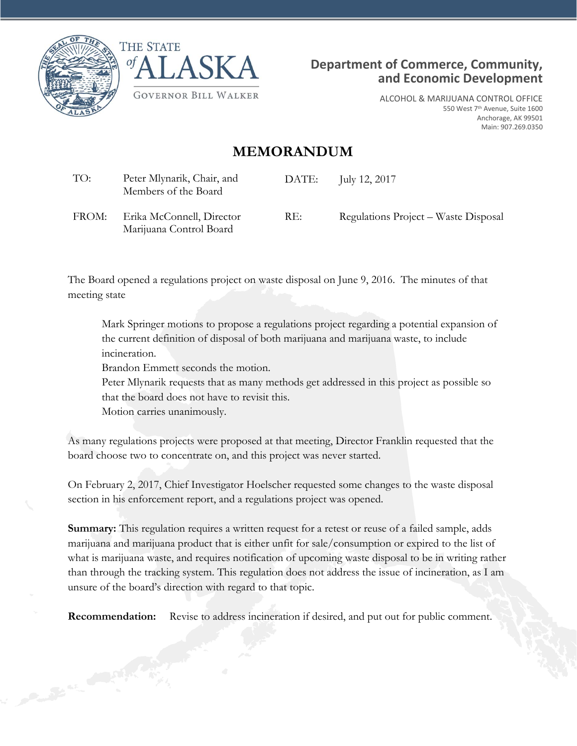





ALCOHOL & MARIJUANA CONTROL OFFICE 550 West 7<sup>th</sup> Avenue, Suite 1600 Anchorage, AK 99501 Main: 907.269.0350

# **MEMORANDUM**

| TO:   | Peter Mlynarik, Chair, and<br>Members of the Board | DATE: | July 12, 2017                        |
|-------|----------------------------------------------------|-------|--------------------------------------|
| FROM: | Erika McConnell, Director                          | RE:   | Regulations Project – Waste Disposal |

FROM: Erika McConnell, Director Marijuana Control Board

The Board opened a regulations project on waste disposal on June 9, 2016. The minutes of that meeting state

Mark Springer motions to propose a regulations project regarding a potential expansion of the current definition of disposal of both marijuana and marijuana waste, to include incineration.

Brandon Emmett seconds the motion.

Peter Mlynarik requests that as many methods get addressed in this project as possible so that the board does not have to revisit this.

Motion carries unanimously.

As many regulations projects were proposed at that meeting, Director Franklin requested that the board choose two to concentrate on, and this project was never started.

On February 2, 2017, Chief Investigator Hoelscher requested some changes to the waste disposal section in his enforcement report, and a regulations project was opened.

**Summary:** This regulation requires a written request for a retest or reuse of a failed sample, adds marijuana and marijuana product that is either unfit for sale/consumption or expired to the list of what is marijuana waste, and requires notification of upcoming waste disposal to be in writing rather than through the tracking system. This regulation does not address the issue of incineration, as I am unsure of the board's direction with regard to that topic.

**Recommendation:** Revise to address incineration if desired, and put out for public comment.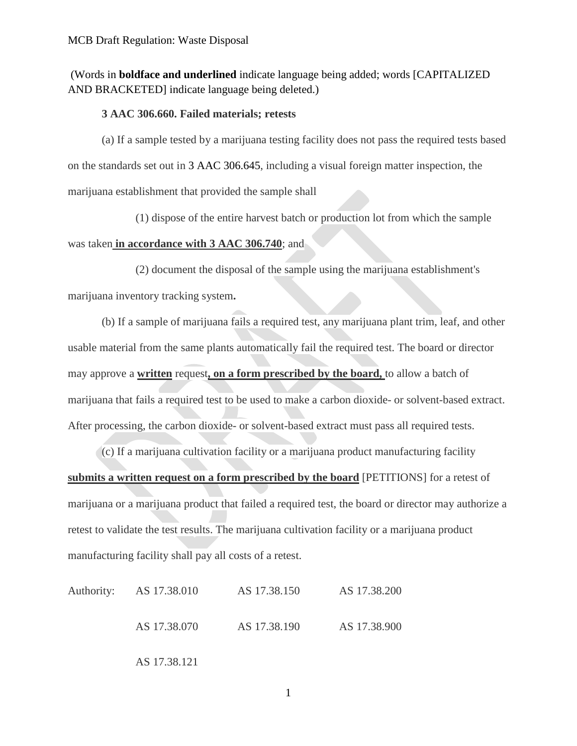## (Words in **boldface and underlined** indicate language being added; words [CAPITALIZED AND BRACKETED] indicate language being deleted.)

#### **3 AAC 306.660. Failed materials; retests**

(a) If a sample tested by a marijuana testing facility does not pass the required tests based on the standards set out in 3 AAC 306.645, including a visual foreign matter inspection, the marijuana establishment that provided the sample shall

(1) dispose of the entire harvest batch or production lot from which the sample was taken **in accordance with 3 AAC 306.740**; and

(2) document the disposal of the sample using the marijuana establishment's marijuana inventory tracking system**.**

(b) If a sample of marijuana fails a required test, any marijuana plant trim, leaf, and other usable material from the same plants automatically fail the required test. The board or director may approve a **written** request**, on a form prescribed by the board,** to allow a batch of marijuana that fails a required test to be used to make a carbon dioxide- or solvent-based extract. After processing, the carbon dioxide- or solvent-based extract must pass all required tests.

(c) If a marijuana cultivation facility or a marijuana product manufacturing facility **submits a written request on a form prescribed by the board** [PETITIONS] for a retest of marijuana or a marijuana product that failed a required test, the board or director may authorize a retest to validate the test results. The marijuana cultivation facility or a marijuana product manufacturing facility shall pay all costs of a retest.

| Authority: AS 17.38.010 | AS 17.38.150 | AS 17.38.200 |  |
|-------------------------|--------------|--------------|--|
| AS 17.38.070            | AS 17.38.190 | AS 17.38.900 |  |

AS 17.38.121

1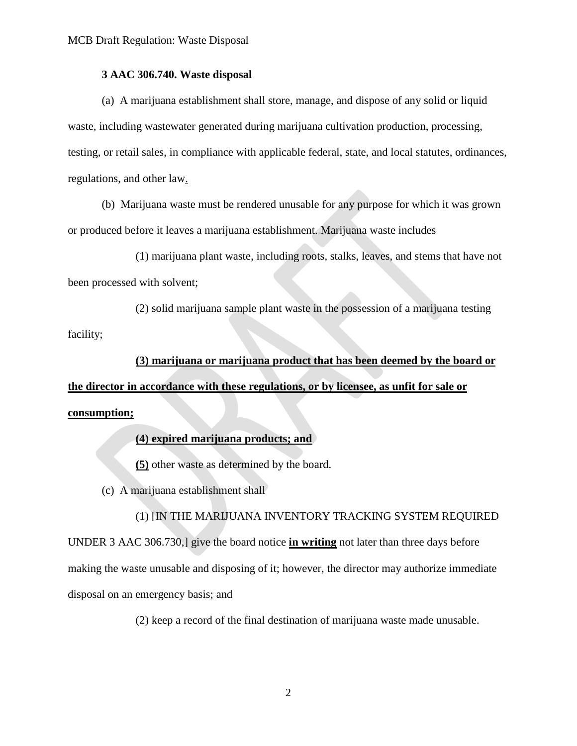#### **3 AAC 306.740. Waste disposal**

(a) A marijuana establishment shall store, manage, and dispose of any solid or liquid waste, including wastewater generated during marijuana cultivation production, processing, testing, or retail sales, in compliance with applicable federal, state, and local statutes, ordinances, regulations, and other law.

(b) Marijuana waste must be rendered unusable for any purpose for which it was grown or produced before it leaves a marijuana establishment. Marijuana waste includes

(1) marijuana plant waste, including roots, stalks, leaves, and stems that have not been processed with solvent;

(2) solid marijuana sample plant waste in the possession of a marijuana testing facility;

### **(3) marijuana or marijuana product that has been deemed by the board or**

**the director in accordance with these regulations, or by licensee, as unfit for sale or consumption;** 

### **(4) expired marijuana products; and**

**(5)** other waste as determined by the board.

(c) A marijuana establishment shall

#### (1) [IN THE MARIJUANA INVENTORY TRACKING SYSTEM REQUIRED

UNDER 3 AAC 306.730,] give the board notice **in writing** not later than three days before making the waste unusable and disposing of it; however, the director may authorize immediate disposal on an emergency basis; and

(2) keep a record of the final destination of marijuana waste made unusable.